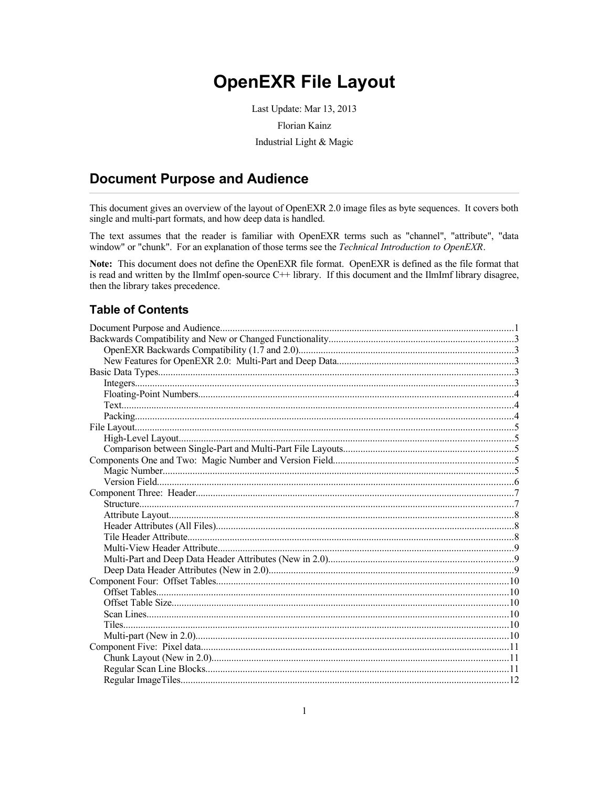# **OpenEXR File Layout**

Last Update: Mar 13, 2013

Florian Kainz

Industrial Light & Magic

## **Document Purpose and Audience**

This document gives an overview of the layout of OpenEXR 2.0 image files as byte sequences. It covers both single and multi-part formats, and how deep data is handled.

The text assumes that the reader is familiar with OpenEXR terms such as "channel", "attribute", "data window" or "chunk". For an explanation of those terms see the Technical Introduction to OpenEXR.

Note: This document does not define the OpenEXR file format. OpenEXR is defined as the file format that is read and written by the IlmImf open-source C++ library. If this document and the IlmImf library disagree, then the library takes precedence.

### **Table of Contents**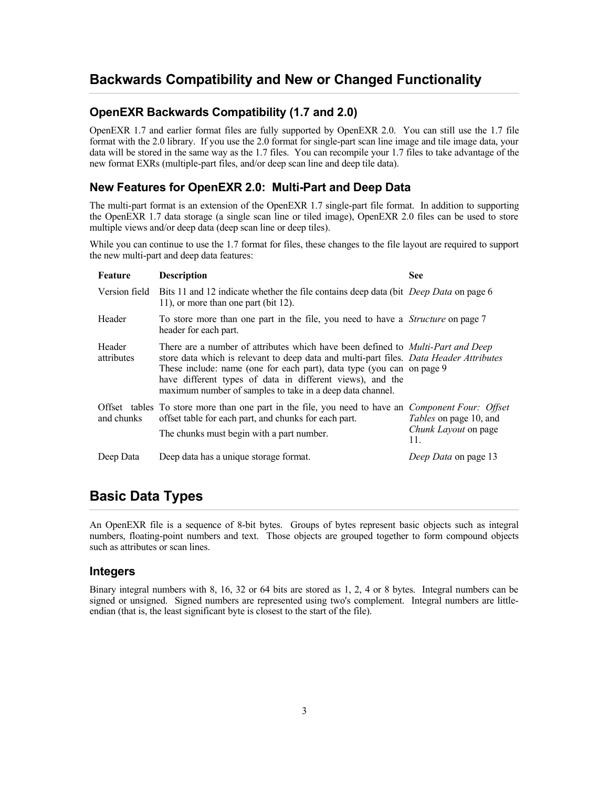### **OpenEXR Backwards Compatibility (1.7 and 2.0)**

OpenEXR 1.7 and earlier format files are fully supported by OpenEXR 2.0. You can still use the 1.7 file format with the 2.0 library. If you use the 2.0 format for single-part scan line image and tile image data, your data will be stored in the same way as the 1.7 files. You can recompile your 1.7 files to take advantage of the new format EXRs (multiple-part files, and/or deep scan line and deep tile data).

### **New Features for OpenEXR 2.0: Multi-Part and Deep Data**

The multi-part format is an extension of the OpenEXR 1.7 single-part file format. In addition to supporting the OpenEXR 1.7 data storage (a single scan line or tiled image), OpenEXR 2.0 files can be used to store multiple views and/or deep data (deep scan line or deep tiles).

While you can continue to use the 1.7 format for files, these changes to the file layout are required to support the new multi-part and deep data features:

| Feature              | <b>Description</b>                                                                                                                                                                                                                                                                                                                                                                  | <b>See</b>                                                   |
|----------------------|-------------------------------------------------------------------------------------------------------------------------------------------------------------------------------------------------------------------------------------------------------------------------------------------------------------------------------------------------------------------------------------|--------------------------------------------------------------|
| Version field        | Bits 11 and 12 indicate whether the file contains deep data (bit <i>Deep Data</i> on page 6<br>11), or more than one part (bit 12).                                                                                                                                                                                                                                                 |                                                              |
| Header               | To store more than one part in the file, you need to have a <i>Structure</i> on page 7<br>header for each part.                                                                                                                                                                                                                                                                     |                                                              |
| Header<br>attributes | There are a number of attributes which have been defined to <i>Multi-Part and Deep</i><br>store data which is relevant to deep data and multi-part files. Data Header Attributes<br>These include: name (one for each part), data type (you can on page 9<br>have different types of data in different views), and the<br>maximum number of samples to take in a deep data channel. |                                                              |
| and chunks           | Offset tables To store more than one part in the file, you need to have an <i>Component Four: Offset</i><br>offset table for each part, and chunks for each part.<br>The chunks must begin with a part number.                                                                                                                                                                      | <i>Tables</i> on page 10, and<br>Chunk Layout on page<br>11. |
| Deep Data            | Deep data has a unique storage format.                                                                                                                                                                                                                                                                                                                                              | Deep Data on page 13                                         |

## **Basic Data Types**

An OpenEXR file is a sequence of 8-bit bytes. Groups of bytes represent basic objects such as integral numbers, floating-point numbers and text. Those objects are grouped together to form compound objects such as attributes or scan lines.

#### **Integers**

Binary integral numbers with 8, 16, 32 or 64 bits are stored as 1, 2, 4 or 8 bytes. Integral numbers can be signed or unsigned. Signed numbers are represented using two's complement. Integral numbers are littleendian (that is, the least significant byte is closest to the start of the file).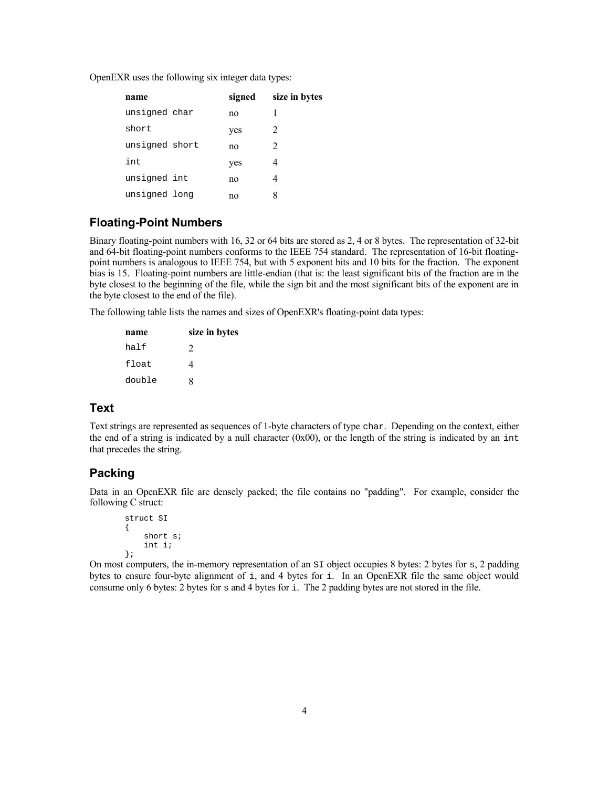OpenEXR uses the following six integer data types:

| name           | signed | size in bytes |
|----------------|--------|---------------|
| unsigned char  | no     |               |
| short          | yes    | 2             |
| unsigned short | no     | 2             |
| int            | yes    |               |
| unsigned int   | no     |               |
| unsigned long  | no     |               |

#### **Floating-Point Numbers**

Binary floating-point numbers with 16, 32 or 64 bits are stored as 2, 4 or 8 bytes. The representation of 32-bit and 64-bit floating-point numbers conforms to the IEEE 754 standard. The representation of 16-bit floatingpoint numbers is analogous to IEEE 754, but with 5 exponent bits and 10 bits for the fraction. The exponent bias is 15. Floating-point numbers are little-endian (that is: the least significant bits of the fraction are in the byte closest to the beginning of the file, while the sign bit and the most significant bits of the exponent are in the byte closest to the end of the file).

The following table lists the names and sizes of OpenEXR's floating-point data types:

| name   | size in bytes               |
|--------|-----------------------------|
| half   | $\mathcal{D}_{\mathcal{A}}$ |
| float  | 4                           |
| double | 8                           |

### **Text**

Text strings are represented as sequences of 1-byte characters of type char. Depending on the context, either the end of a string is indicated by a null character  $(0x00)$ , or the length of the string is indicated by an int that precedes the string.

#### **Packing**

Data in an OpenEXR file are densely packed; the file contains no "padding". For example, consider the following C struct:

```
struct SI
{
     short s;
     int i;
};
```
On most computers, the in-memory representation of an SI object occupies 8 bytes: 2 bytes for s, 2 padding bytes to ensure four-byte alignment of i, and 4 bytes for i. In an OpenEXR file the same object would consume only 6 bytes: 2 bytes for s and 4 bytes for i. The 2 padding bytes are not stored in the file.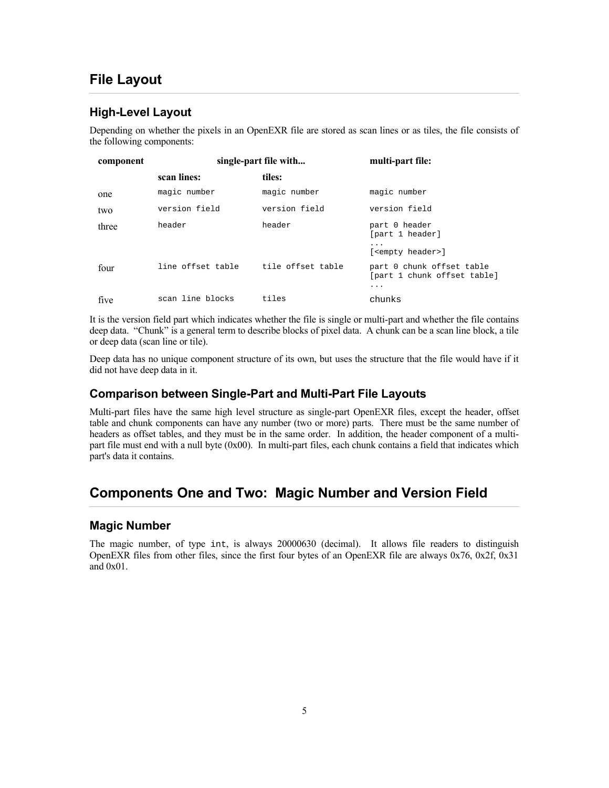## **File Layout**

### **High-Level Layout**

Depending on whether the pixels in an OpenEXR file are stored as scan lines or as tiles, the file consists of the following components:

| component | single-part file with |                   | multi-part file:                                                      |
|-----------|-----------------------|-------------------|-----------------------------------------------------------------------|
|           | scan lines:           | tiles:            |                                                                       |
| one       | magic number          | magic number      | magic number                                                          |
| two       | version field         | version field     | version field                                                         |
| three     | header                | header            | part 0 header<br>[part 1 header]<br>.<br>[ <empty header="">]</empty> |
| four      | line offset table     | tile offset table | part 0 chunk offset table<br>[part 1 chunk offset table]<br>$\cdot$   |
| five      | scan line blocks      | tiles             | chunks                                                                |

It is the version field part which indicates whether the file is single or multi-part and whether the file contains deep data. "Chunk" is a general term to describe blocks of pixel data. A chunk can be a scan line block, a tile or deep data (scan line or tile).

Deep data has no unique component structure of its own, but uses the structure that the file would have if it did not have deep data in it.

#### **Comparison between Single-Part and Multi-Part File Layouts**

Multi-part files have the same high level structure as single-part OpenEXR files, except the header, offset table and chunk components can have any number (two or more) parts. There must be the same number of headers as offset tables, and they must be in the same order. In addition, the header component of a multipart file must end with a null byte (0x00). In multi-part files, each chunk contains a field that indicates which part's data it contains.

## **Components One and Two: Magic Number and Version Field**

#### **Magic Number**

The magic number, of type int, is always 20000630 (decimal). It allows file readers to distinguish OpenEXR files from other files, since the first four bytes of an OpenEXR file are always  $0x76$ ,  $0x2f$ ,  $0x31$ and 0x01.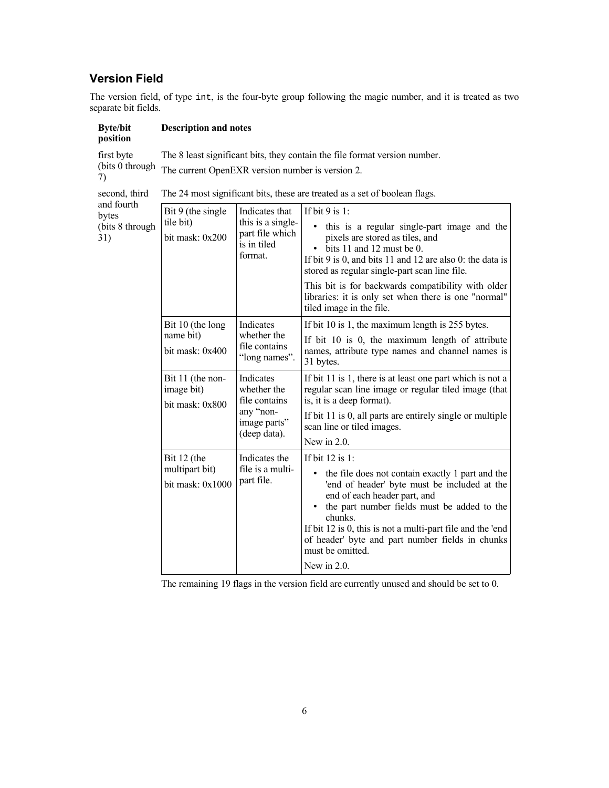### <span id="page-5-0"></span>**Version Field**

The version field, of type int, is the four-byte group following the magic number, and it is treated as two separate bit fields.

#### **Byte/bit position Description and notes**

first byte (bits 0 through 7) The 8 least significant bits, they contain the file format version number. The current OpenEXR version number is version 2.

second, third and fourth The 24 most significant bits, these are treated as a set of boolean flags.

| anu iomui<br>bytes<br>(bits 8 through<br>31) | Bit 9 (the single<br>tile bit)<br>bit mask: 0x200 | Indicates that<br>this is a single-<br>part file which<br>is in tiled<br>format.       | If bit $9$ is 1:<br>this is a regular single-part image and the<br>$\bullet$<br>pixels are stored as tiles, and<br>bits 11 and 12 must be 0.<br>If bit 9 is 0, and bits 11 and 12 are also 0: the data is<br>stored as regular single-part scan line file.<br>This bit is for backwards compatibility with older<br>libraries: it is only set when there is one "normal"<br>tiled image in the file. |
|----------------------------------------------|---------------------------------------------------|----------------------------------------------------------------------------------------|------------------------------------------------------------------------------------------------------------------------------------------------------------------------------------------------------------------------------------------------------------------------------------------------------------------------------------------------------------------------------------------------------|
|                                              | Bit 10 (the long<br>name bit)<br>bit mask: 0x400  | Indicates<br>whether the<br>file contains<br>"long names".                             | If bit 10 is 1, the maximum length is 255 bytes.<br>If bit 10 is 0, the maximum length of attribute<br>names, attribute type names and channel names is<br>31 bytes.                                                                                                                                                                                                                                 |
|                                              | Bit 11 (the non-<br>image bit)<br>bit mask: 0x800 | Indicates<br>whether the<br>file contains<br>any "non-<br>image parts"<br>(deep data). | If bit 11 is 1, there is at least one part which is not a<br>regular scan line image or regular tiled image (that<br>is, it is a deep format).<br>If bit 11 is 0, all parts are entirely single or multiple<br>scan line or tiled images.<br>New in $2.0$ .                                                                                                                                          |
|                                              | Bit 12 (the<br>multipart bit)<br>bit mask: 0x1000 | Indicates the<br>file is a multi-<br>part file.                                        | If bit 12 is 1:<br>the file does not contain exactly 1 part and the<br>$\bullet$<br>'end of header' byte must be included at the<br>end of each header part, and<br>the part number fields must be added to the<br>$\bullet$<br>chunks.<br>If bit 12 is 0, this is not a multi-part file and the 'end<br>of header' byte and part number fields in chunks<br>must be omitted.<br>New in $2.0$ .      |

The remaining 19 flags in the version field are currently unused and should be set to 0.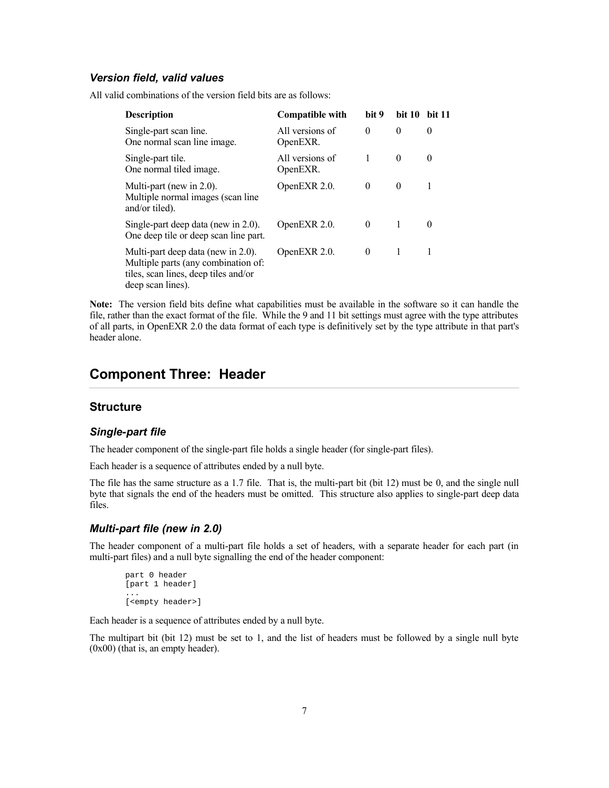#### *Version field, valid values*

All valid combinations of the version field bits are as follows:

| <b>Description</b>                                                                                                                     | Compatible with             | hit 9    | <b>bit 10</b> | <b>bit 11</b> |
|----------------------------------------------------------------------------------------------------------------------------------------|-----------------------------|----------|---------------|---------------|
| Single-part scan line.<br>One normal scan line image.                                                                                  | All versions of<br>OpenEXR. | $\theta$ | $\theta$      | 0             |
| Single-part tile.<br>One normal tiled image.                                                                                           | All versions of<br>OpenEXR. | 1        | $\Omega$      | $\theta$      |
| Multi-part (new in $2.0$ ).<br>Multiple normal images (scan line<br>and/or tiled).                                                     | OpenEXR 2.0.                | $\theta$ | $\Omega$      |               |
| Single-part deep data (new in $2.0$ ).<br>One deep tile or deep scan line part.                                                        | OpenEXR 2.0.                | $\theta$ | 1             | $\theta$      |
| Multi-part deep data (new in 2.0).<br>Multiple parts (any combination of:<br>tiles, scan lines, deep tiles and/or<br>deep scan lines). | OpenEXR $2.0$ .             | $\theta$ | 1             |               |

**Note:** The version field bits define what capabilities must be available in the software so it can handle the file, rather than the exact format of the file. While the 9 and 11 bit settings must agree with the type attributes of all parts, in OpenEXR 2.0 the data format of each type is definitively set by the type attribute in that part's header alone.

## **Component Three: Header**

#### <span id="page-6-0"></span>**Structure**

#### *Single-part file*

The header component of the single-part file holds a single header (for single-part files).

Each header is a sequence of attributes ended by a null byte.

The file has the same structure as a 1.7 file. That is, the multi-part bit (bit 12) must be 0, and the single null byte that signals the end of the headers must be omitted. This structure also applies to single-part deep data files.

#### *Multi-part file (new in 2.0)*

The header component of a multi-part file holds a set of headers, with a separate header for each part (in multi-part files) and a null byte signalling the end of the header component:

```
part 0 header
[part 1 header]
...
[<empty header>]
```
Each header is a sequence of attributes ended by a null byte.

The multipart bit (bit 12) must be set to 1, and the list of headers must be followed by a single null byte (0x00) (that is, an empty header).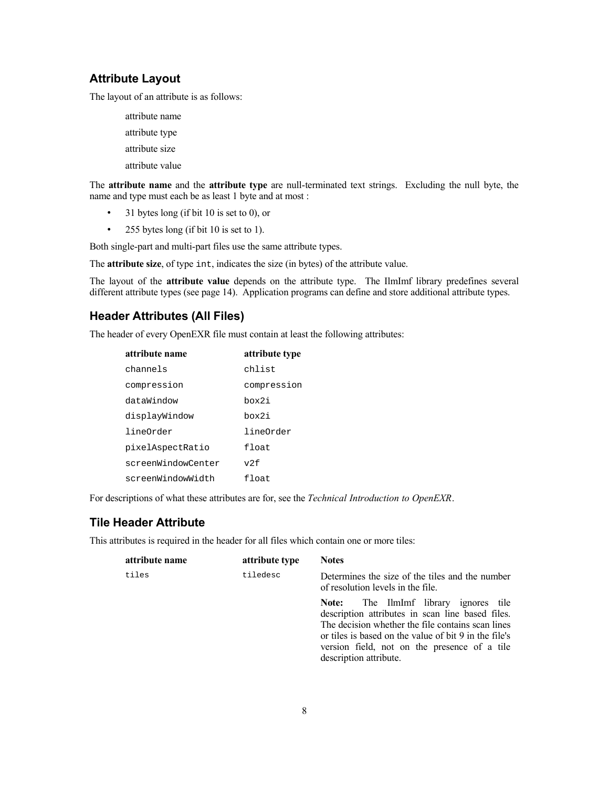### <span id="page-7-0"></span>**Attribute Layout**

The layout of an attribute is as follows:

attribute name

attribute type

attribute size

attribute value

The **attribute name** and the **attribute type** are null-terminated text strings. Excluding the null byte, the name and type must each be as least 1 byte and at most :

- 31 bytes long (if bit 10 is set to 0), or
- 255 bytes long (if bit 10 is set to 1).

Both single-part and multi-part files use the same attribute types.

The **attribute size**, of type int, indicates the size (in bytes) of the attribute value.

The layout of the **attribute value** depends on the attribute type. The IlmImf library predefines several different attribute types (see page [14\)](#page-13-0). Application programs can define and store additional attribute types.

#### **Header Attributes (All Files)**

The header of every OpenEXR file must contain at least the following attributes:

| attribute name     | attribute type |
|--------------------|----------------|
| channels           | chlist         |
| compression        | compression    |
| dataWindow         | box2i          |
| displayWindow      | hox2i          |
| lineOrder          | lineOrder      |
| pixelAspectRatio   | float          |
| screenWindowCenter | v2f            |
| screenWindowWidth  | float          |

For descriptions of what these attributes are for, see the *Technical Introduction to OpenEXR*.

#### **Tile Header Attribute**

This attributes is required in the header for all files which contain one or more tiles:

| attribute name | attribute type | <b>Notes</b>                                                                                                                                                                                                                                                                         |
|----------------|----------------|--------------------------------------------------------------------------------------------------------------------------------------------------------------------------------------------------------------------------------------------------------------------------------------|
| tiles          | tiledesc       | Determines the size of the tiles and the number<br>of resolution levels in the file.                                                                                                                                                                                                 |
|                |                | The IlmImf library ignores tile<br>Note:<br>description attributes in scan line based files.<br>The decision whether the file contains scan lines<br>or tiles is based on the value of bit 9 in the file's<br>version field, not on the presence of a tile<br>description attribute. |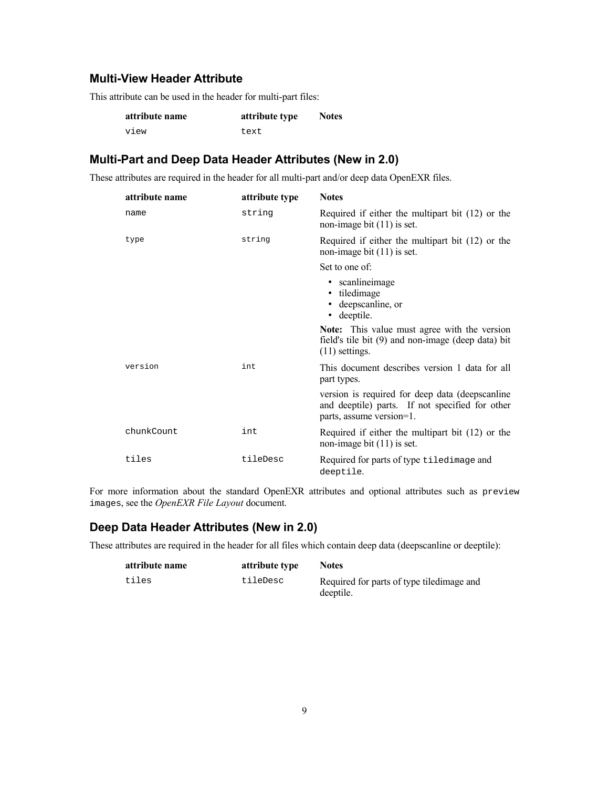### **Multi-View Header Attribute**

This attribute can be used in the header for multi-part files:

| attribute name | attribute type | <b>Notes</b> |
|----------------|----------------|--------------|
| view           | text           |              |

### <span id="page-8-0"></span>**Multi-Part and Deep Data Header Attributes (New in 2.0)**

These attributes are required in the header for all multi-part and/or deep data OpenEXR files.

| attribute name | attribute type | <b>Notes</b>                                                                                                                   |
|----------------|----------------|--------------------------------------------------------------------------------------------------------------------------------|
| name           | string         | Required if either the multipart bit $(12)$ or the<br>non-image bit $(11)$ is set.                                             |
| type           | string         | Required if either the multipart bit $(12)$ or the<br>non-image bit $(11)$ is set.                                             |
|                |                | Set to one of:                                                                                                                 |
|                |                | • scanlineimage<br>tiledimage<br>• deepscanline, or<br>• deeptile.                                                             |
|                |                | Note: This value must agree with the version<br>field's tile bit (9) and non-image (deep data) bit<br>$(11)$ settings.         |
| version        | int            | This document describes version 1 data for all<br>part types.                                                                  |
|                |                | version is required for deep data (deepscanline<br>and deeptile) parts. If not specified for other<br>parts, assume version=1. |
| chunkCount     | int            | Required if either the multipart bit $(12)$ or the<br>non-image bit $(11)$ is set.                                             |
| tiles          | tileDesc       | Required for parts of type tiledimage and<br>deeptile.                                                                         |

For more information about the standard OpenEXR attributes and optional attributes such as preview images, see the *OpenEXR File Layout* document.

### **Deep Data Header Attributes (New in 2.0)**

These attributes are required in the header for all files which contain deep data (deepscanline or deeptile):

| attribute name | attribute type | <b>Notes</b>                                           |
|----------------|----------------|--------------------------------------------------------|
| tiles          | tileDesc       | Required for parts of type tiledimage and<br>deeptile. |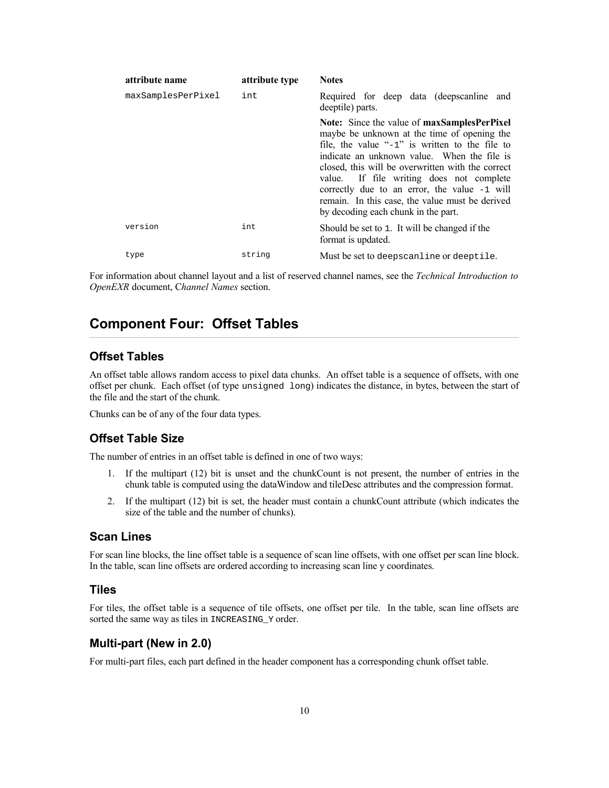| attribute name     | attribute type | <b>Notes</b>                                                                                                                                                                                                                                                                                                                                                                                                                                               |
|--------------------|----------------|------------------------------------------------------------------------------------------------------------------------------------------------------------------------------------------------------------------------------------------------------------------------------------------------------------------------------------------------------------------------------------------------------------------------------------------------------------|
| maxSamplesPerPixel | int            | Required for deep data (deepscanline and<br>deeptile) parts.                                                                                                                                                                                                                                                                                                                                                                                               |
|                    |                | <b>Note:</b> Since the value of <b>maxSamplesPerPixel</b><br>maybe be unknown at the time of opening the<br>file, the value " $-1$ " is written to the file to<br>indicate an unknown value. When the file is<br>closed, this will be overwritten with the correct<br>value. If file writing does not complete<br>correctly due to an error, the value $-1$ will<br>remain. In this case, the value must be derived<br>by decoding each chunk in the part. |
| version            | int            | Should be set to 1. It will be changed if the<br>format is updated.                                                                                                                                                                                                                                                                                                                                                                                        |
| type               | string         | Must be set to deeps can line or deeptile.                                                                                                                                                                                                                                                                                                                                                                                                                 |

For information about channel layout and a list of reserved channel names, see the *Technical Introduction to OpenEXR* document, C*hannel Names* section.

## <span id="page-9-0"></span>**Component Four: Offset Tables**

### **Offset Tables**

An offset table allows random access to pixel data chunks. An offset table is a sequence of offsets, with one offset per chunk. Each offset (of type unsigned long) indicates the distance, in bytes, between the start of the file and the start of the chunk.

Chunks can be of any of the four data types.

#### **Offset Table Size**

The number of entries in an offset table is defined in one of two ways:

- 1. If the multipart (12) bit is unset and the chunkCount is not present, the number of entries in the chunk table is computed using the dataWindow and tileDesc attributes and the compression format.
- 2. If the multipart (12) bit is set, the header must contain a chunkCount attribute (which indicates the size of the table and the number of chunks).

#### **Scan Lines**

For scan line blocks, the line offset table is a sequence of scan line offsets, with one offset per scan line block. In the table, scan line offsets are ordered according to increasing scan line y coordinates.

#### **Tiles**

For tiles, the offset table is a sequence of tile offsets, one offset per tile. In the table, scan line offsets are sorted the same way as tiles in INCREASING\_Y order.

#### **Multi-part (New in 2.0)**

For multi-part files, each part defined in the header component has a corresponding chunk offset table.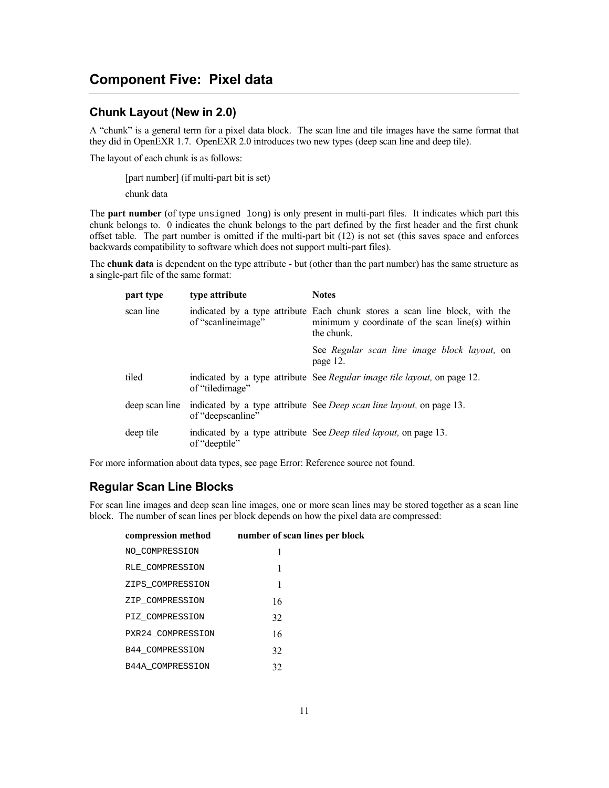## **Component Five: Pixel data**

#### <span id="page-10-0"></span>**Chunk Layout (New in 2.0)**

A "chunk" is a general term for a pixel data block. The scan line and tile images have the same format that they did in OpenEXR 1.7. OpenEXR 2.0 introduces two new types (deep scan line and deep tile).

The layout of each chunk is as follows:

[part number] (if multi-part bit is set)

chunk data

The **part number** (of type unsigned long) is only present in multi-part files. It indicates which part this chunk belongs to. 0 indicates the chunk belongs to the part defined by the first header and the first chunk offset table. The part number is omitted if the multi-part bit (12) is not set (this saves space and enforces backwards compatibility to software which does not support multi-part files).

The **chunk data** is dependent on the type attribute - but (other than the part number) has the same structure as a single-part file of the same format:

| part type      | type attribute     | <b>Notes</b>                                                                                                                                 |
|----------------|--------------------|----------------------------------------------------------------------------------------------------------------------------------------------|
| scan line      | of "scanlineimage" | indicated by a type attribute Each chunk stores a scan line block, with the<br>minimum y coordinate of the scan line(s) within<br>the chunk. |
|                |                    | See Regular scan line image block layout, on<br>page 12.                                                                                     |
| tiled          | of "tiledimage"    | indicated by a type attribute See Regular image tile layout, on page 12.                                                                     |
| deep scan line | of "deepscanline"  | indicated by a type attribute See <i>Deep scan line layout</i> , on page 13.                                                                 |
| deep tile      | of "deeptile"      | indicated by a type attribute See <i>Deep tiled layout</i> , on page 13.                                                                     |

For more information about data types, see page [Error: Reference source not found.](#page-10-1)

### **Regular Scan Line Blocks**

For scan line images and deep scan line images, one or more scan lines may be stored together as a scan line block. The number of scan lines per block depends on how the pixel data are compressed:

<span id="page-10-1"></span>

| compression method      | number of scan lines per block |
|-------------------------|--------------------------------|
| NO COMPRESSION          | 1                              |
| RLE COMPRESSION         | 1                              |
| ZIPS COMPRESSION        | 1                              |
| ZIP COMPRESSION         | 16                             |
| PIZ COMPRESSION         | 32                             |
| PXR24 COMPRESSION       | 16                             |
| <b>B44 COMPRESSION</b>  | 32                             |
| <b>B44A COMPRESSION</b> | 32                             |
|                         |                                |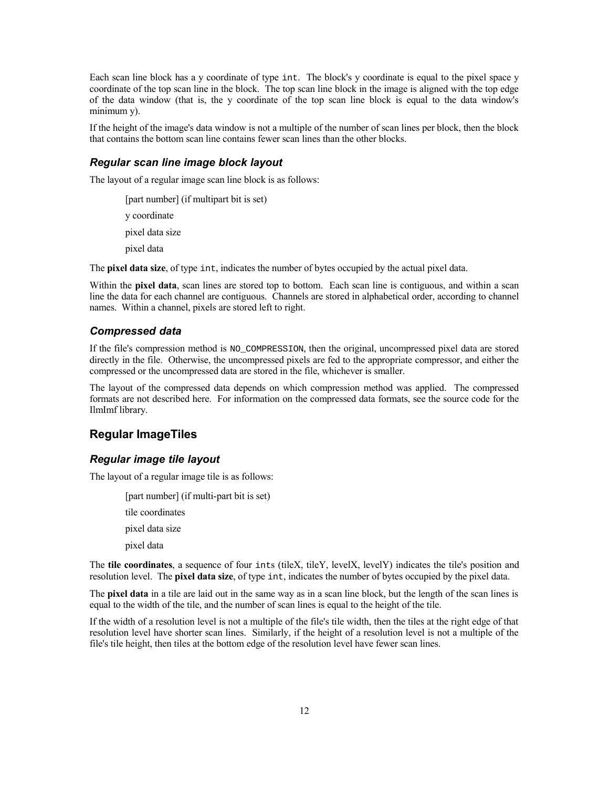Each scan line block has a y coordinate of type int. The block's y coordinate is equal to the pixel space y coordinate of the top scan line in the block. The top scan line block in the image is aligned with the top edge of the data window (that is, the y coordinate of the top scan line block is equal to the data window's minimum y).

If the height of the image's data window is not a multiple of the number of scan lines per block, then the block that contains the bottom scan line contains fewer scan lines than the other blocks.

#### <span id="page-11-1"></span>*Regular scan line image block layout*

The layout of a regular image scan line block is as follows:

[part number] (if multipart bit is set) y coordinate pixel data size pixel data

The **pixel data size**, of type int, indicates the number of bytes occupied by the actual pixel data.

Within the **pixel data**, scan lines are stored top to bottom. Each scan line is contiguous, and within a scan line the data for each channel are contiguous. Channels are stored in alphabetical order, according to channel names. Within a channel, pixels are stored left to right.

#### *Compressed data*

If the file's compression method is NO\_COMPRESSION, then the original, uncompressed pixel data are stored directly in the file. Otherwise, the uncompressed pixels are fed to the appropriate compressor, and either the compressed or the uncompressed data are stored in the file, whichever is smaller.

The layout of the compressed data depends on which compression method was applied. The compressed formats are not described here. For information on the compressed data formats, see the source code for the IlmImf library.

### **Regular ImageTiles**

#### <span id="page-11-0"></span>*Regular image tile layout*

The layout of a regular image tile is as follows:

[part number] (if multi-part bit is set) tile coordinates pixel data size pixel data

The **tile coordinates**, a sequence of four ints (tileX, tileY, levelX, levelY) indicates the tile's position and resolution level. The **pixel data size**, of type int, indicates the number of bytes occupied by the pixel data.

The **pixel data** in a tile are laid out in the same way as in a scan line block, but the length of the scan lines is equal to the width of the tile, and the number of scan lines is equal to the height of the tile.

If the width of a resolution level is not a multiple of the file's tile width, then the tiles at the right edge of that resolution level have shorter scan lines. Similarly, if the height of a resolution level is not a multiple of the file's tile height, then tiles at the bottom edge of the resolution level have fewer scan lines.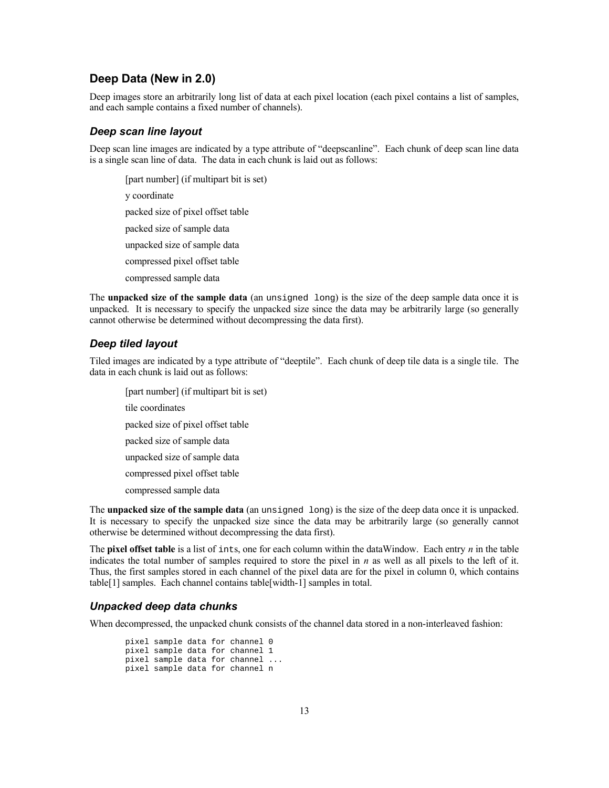#### <span id="page-12-0"></span>**Deep Data (New in 2.0)**

Deep images store an arbitrarily long list of data at each pixel location (each pixel contains a list of samples, and each sample contains a fixed number of channels).

#### <span id="page-12-2"></span>*Deep scan line layout*

Deep scan line images are indicated by a type attribute of "deepscanline". Each chunk of deep scan line data is a single scan line of data. The data in each chunk is laid out as follows:

[part number] (if multipart bit is set) y coordinate packed size of pixel offset table packed size of sample data unpacked size of sample data compressed pixel offset table compressed sample data

The **unpacked size of the sample data** (an unsigned long) is the size of the deep sample data once it is unpacked. It is necessary to specify the unpacked size since the data may be arbitrarily large (so generally cannot otherwise be determined without decompressing the data first).

#### <span id="page-12-1"></span>*Deep tiled layout*

Tiled images are indicated by a type attribute of "deeptile". Each chunk of deep tile data is a single tile. The data in each chunk is laid out as follows:

[part number] (if multipart bit is set)

tile coordinates

packed size of pixel offset table

packed size of sample data

unpacked size of sample data

compressed pixel offset table

compressed sample data

The **unpacked size of the sample data** (an unsigned long) is the size of the deep data once it is unpacked. It is necessary to specify the unpacked size since the data may be arbitrarily large (so generally cannot otherwise be determined without decompressing the data first).

The **pixel offset table** is a list of ints, one for each column within the dataWindow. Each entry *n* in the table indicates the total number of samples required to store the pixel in *n* as well as all pixels to the left of it. Thus, the first samples stored in each channel of the pixel data are for the pixel in column 0, which contains table[1] samples. Each channel contains table[width-1] samples in total.

#### *Unpacked deep data chunks*

When decompressed, the unpacked chunk consists of the channel data stored in a non-interleaved fashion:

pixel sample data for channel 0 pixel sample data for channel 1 pixel sample data for channel ... pixel sample data for channel n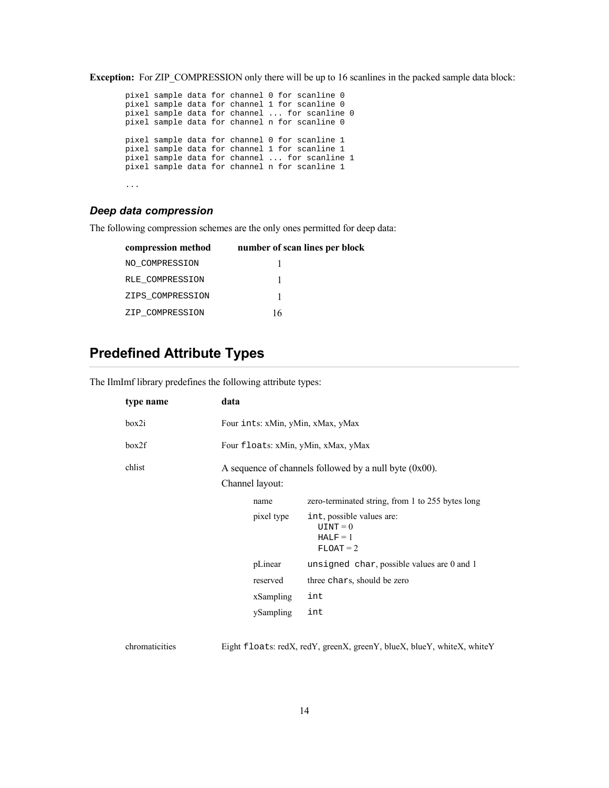**Exception:** For ZIP\_COMPRESSION only there will be up to 16 scanlines in the packed sample data block:

pixel sample data for channel 0 for scanline 0 pixel sample data for channel 1 for scanline 0 pixel sample data for channel ... for scanline 0 pixel sample data for channel n for scanline 0 pixel sample data for channel 0 for scanline 1 pixel sample data for channel 1 for scanline 1 pixel sample data for channel ... for scanline 1 pixel sample data for channel n for scanline 1 ...

#### *Deep data compression*

The following compression schemes are the only ones permitted for deep data:

| compression method | number of scan lines per block |
|--------------------|--------------------------------|
| NO COMPRESSION     |                                |
| RLE COMPRESSION    |                                |
| ZIPS COMPRESSION   |                                |
| ZIP COMPRESSION    | 16                             |

## <span id="page-13-0"></span>**Predefined Attribute Types**

The IlmImf library predefines the following attribute types:

| type name | data                                                                         |                                                                      |  |  |  |  |  |  |  |  |  |  |
|-----------|------------------------------------------------------------------------------|----------------------------------------------------------------------|--|--|--|--|--|--|--|--|--|--|
| box2i     |                                                                              | Four ints: xMin, yMin, xMax, yMax                                    |  |  |  |  |  |  |  |  |  |  |
| box2f     |                                                                              | Four floats: xMin, yMin, xMax, yMax                                  |  |  |  |  |  |  |  |  |  |  |
| chlist    | A sequence of channels followed by a null byte $(0x00)$ .<br>Channel layout: |                                                                      |  |  |  |  |  |  |  |  |  |  |
|           | name                                                                         | zero-terminated string, from 1 to 255 bytes long                     |  |  |  |  |  |  |  |  |  |  |
|           | pixel type                                                                   | int, possible values are:<br>$UINT = 0$<br>$HALF = 1$<br>$FLOAT = 2$ |  |  |  |  |  |  |  |  |  |  |
|           | pLinear                                                                      | unsigned char, possible values are $0$ and $1$                       |  |  |  |  |  |  |  |  |  |  |
|           | reserved                                                                     | three chars, should be zero                                          |  |  |  |  |  |  |  |  |  |  |
|           | xSampling                                                                    | int                                                                  |  |  |  |  |  |  |  |  |  |  |
|           | ySampling                                                                    | int                                                                  |  |  |  |  |  |  |  |  |  |  |

chromaticities Eight floats: redX, redY, greenX, greenY, blueX, blueY, whiteX, whiteY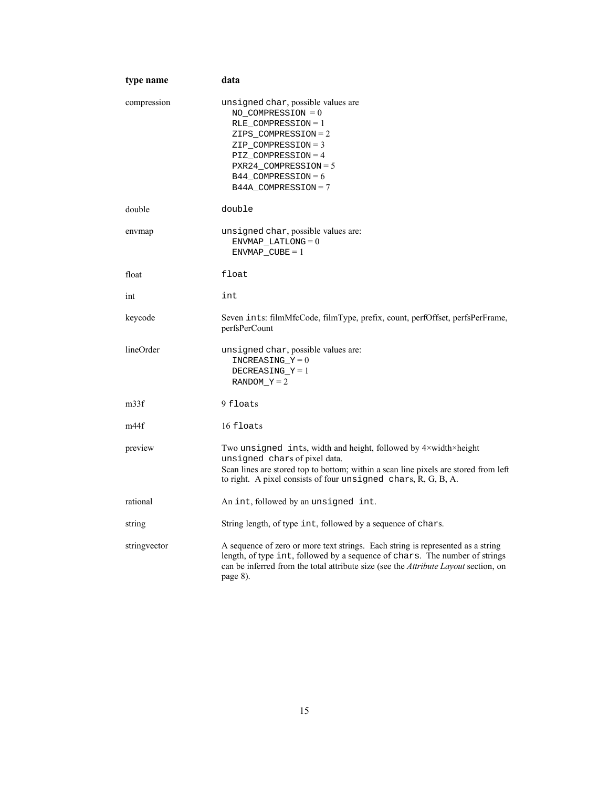| type name        | data                                                                                                                                                                                                                                                              |
|------------------|-------------------------------------------------------------------------------------------------------------------------------------------------------------------------------------------------------------------------------------------------------------------|
| compression      | unsigned char, possible values are<br>NO COMPRESSION $=0$<br>RLE COMPRESSION = $1$<br>ZIPS_COMPRESSION=2<br>ZIP COMPRESSION=3<br>PIZ COMPRESSION=4<br>$PXR24$ COMPRESSION = 5<br>$B44$ COMPRESSION = 6<br>B44A COMPRESSION=7                                      |
| double           | double                                                                                                                                                                                                                                                            |
| envmap           | unsigned char, possible values are:<br>$ENVMAP\_LATLONG = 0$<br>ENVMAP CUBE = $1$                                                                                                                                                                                 |
| float            | float                                                                                                                                                                                                                                                             |
| ınt              | int                                                                                                                                                                                                                                                               |
| keycode          | Seven ints: filmMfcCode, filmType, prefix, count, perfOffset, perfsPerFrame,<br>perfsPerCount                                                                                                                                                                     |
| lineOrder        | unsigned char, possible values are:<br>INCREASING $Y = 0$<br>DECREASING $Y = 1$<br>RANDOM $Y = 2$                                                                                                                                                                 |
| m <sub>33f</sub> | 9 floats                                                                                                                                                                                                                                                          |
| m44f             | $16$ floats                                                                                                                                                                                                                                                       |
| preview          | Two unsigned ints, width and height, followed by 4xwidthxheight<br>unsigned chars of pixel data.<br>Scan lines are stored top to bottom; within a scan line pixels are stored from left<br>to right. A pixel consists of four unsigned chars, R, G, B, A.         |
| rational         | An int, followed by an unsigned int.                                                                                                                                                                                                                              |
| string           | String length, of type int, followed by a sequence of chars.                                                                                                                                                                                                      |
| stringvector     | A sequence of zero or more text strings. Each string is represented as a string<br>length, of type int, followed by a sequence of chars. The number of strings<br>can be inferred from the total attribute size (see the Attribute Layout section, on<br>page 8). |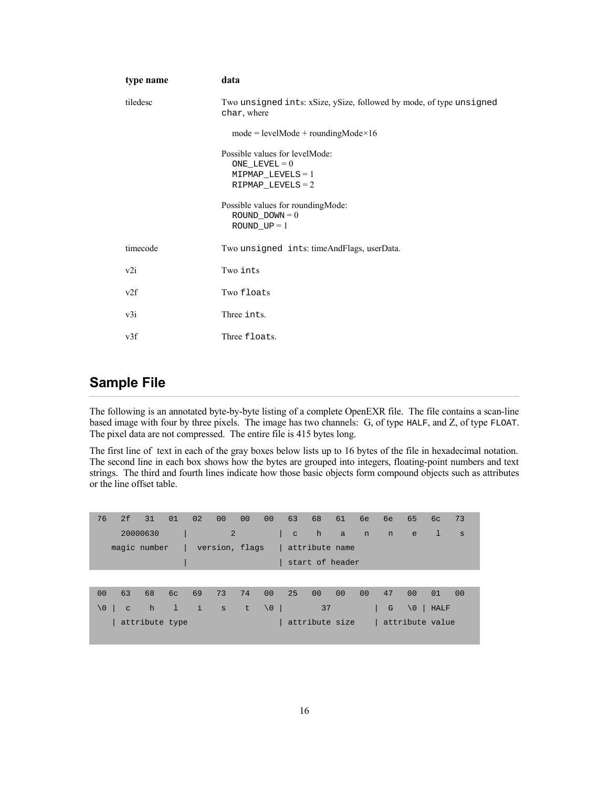| type name | data                                                                                            |
|-----------|-------------------------------------------------------------------------------------------------|
| tiledesc  | Two unsigned ints: xSize, ySize, followed by mode, of type unsigned<br>char, where              |
|           | $mode = levelMode + roundingMode \times 16$                                                     |
|           | Possible values for levelMode:<br>ONE LEVEL $= 0$<br>$MIPMAP$ LEVELS = 1<br>$RIPMAP_LEVELS = 2$ |
|           | Possible values for rounding Mode:<br>ROUND DOWN $= 0$<br>$ROUND_UP = 1$                        |
| timecode  | Two unsigned ints: timeAndFlags, userData.                                                      |
| v2i       | Two ints                                                                                        |
| v2f       | Two floats                                                                                      |
| v3i       | Three ints.                                                                                     |
| v3f       | Three floats.                                                                                   |

# **Sample File**

The following is an annotated byte-by-byte listing of a complete OpenEXR file. The file contains a scan-line based image with four by three pixels. The image has two channels: G, of type HALF, and Z, of type FLOAT. The pixel data are not compressed. The entire file is 415 bytes long.

The first line of text in each of the gray boxes below lists up to 16 bytes of the file in hexadecimal notation. The second line in each box shows how the bytes are grouped into integers, floating-point numbers and text strings. The third and fourth lines indicate how those basic objects form compound objects such as attributes or the line offset table.

| 76             | 2f             | 31       | 01            | 02 | 00             | 00 | 00 <sup>o</sup> | 63           | 68              | 61             | 6e             | 6e | 65              | 6c          | 73 |
|----------------|----------------|----------|---------------|----|----------------|----|-----------------|--------------|-----------------|----------------|----------------|----|-----------------|-------------|----|
|                |                | 20000630 |               |    | 2              |    |                 | $\mathtt{C}$ | h               | $\alpha$       | n              | n  | e               | $\Delta$    | S  |
| magic number   |                |          |               |    | version, flags |    |                 |              | attribute name  |                |                |    |                 |             |    |
|                |                |          |               |    |                |    |                 |              | start of header |                |                |    |                 |             |    |
|                |                |          |               |    |                |    |                 |              |                 |                |                |    |                 |             |    |
| 0 <sub>0</sub> | 63             | 68       | 6c            | 69 | 73             | 74 | 0 <sup>0</sup>  | 25           | 0 <sup>0</sup>  | 0 <sup>0</sup> | 0 <sup>0</sup> | 47 | 0 <sup>0</sup>  | 01          | 00 |
| $\setminus 0$  | $\mathbf C$    | h        | $\mathcal{L}$ | i  | $\mathbf{s}$   | t  | $\setminus 0$   |              | 37              |                |                | G  | $\setminus 0$   | <b>HALF</b> |    |
|                | attribute type |          |               |    |                |    |                 |              | attribute size  |                |                |    | attribute value |             |    |
|                |                |          |               |    |                |    |                 |              |                 |                |                |    |                 |             |    |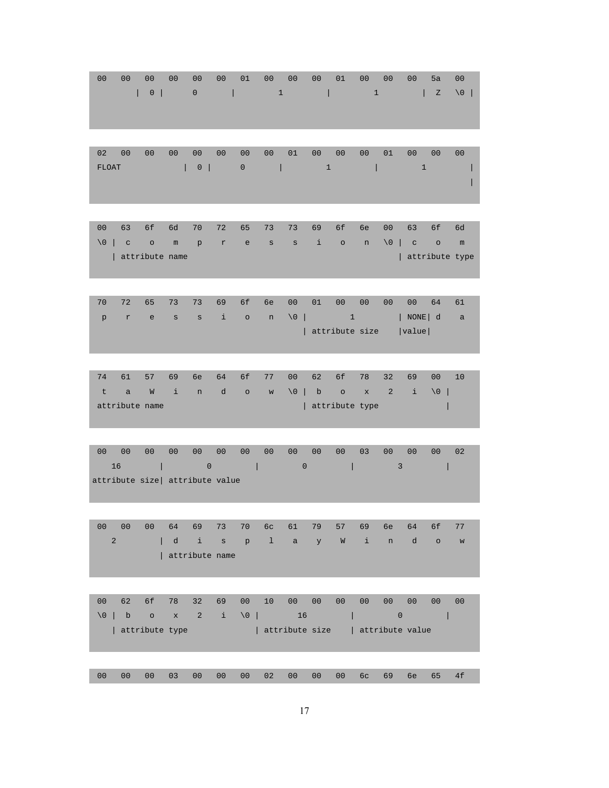00 00 00 00 00 00 01 00 00 00 01 00 00 00 5a 00 | 0 | 0 | 1 | 1 | Z \0 |

 02 00 00 00 00 00 00 00 01 00 00 00 01 00 00 00 FLOAT | 0 | 0 | 1 | 1 | |

 00 63 6f 6d 70 72 65 73 73 69 6f 6e 00 63 6f 6d  $\setminus 0$  | c o m p r e s s i o n  $\setminus 0$  | c o m | attribute name | attribute type | attribute type

 70 72 65 73 73 69 6f 6e 00 01 00 00 00 00 64 61 p r e s s i o n  $\setminus 0$  | 1 | NONE| d a | attribute size | value|

 74 61 57 69 6e 64 6f 77 00 62 6f 78 32 69 00 10 t a W i n d o w  $\vert$  ( ) b o x 2 i  $\vert$  ( ) attribute name  $|$  attribute type  $|$ 

 00 00 00 00 00 00 00 00 00 00 00 03 00 00 00 02 16 | 0 | 0 | 3 | attribute size| attribute value

 00 00 00 64 69 73 70 6c 61 79 57 69 6e 64 6f 77 2 | d i s p l a y W i n d o w | attribute name

 00 62 6f 78 32 69 00 10 00 00 00 00 00 00 00 00 \0 | b o x 2 i \0 | 16 | 0 | | attribute type | attribute size | attribute value

00 00 00 03 00 00 00 02 00 00 00 6c 69 6e 65 4f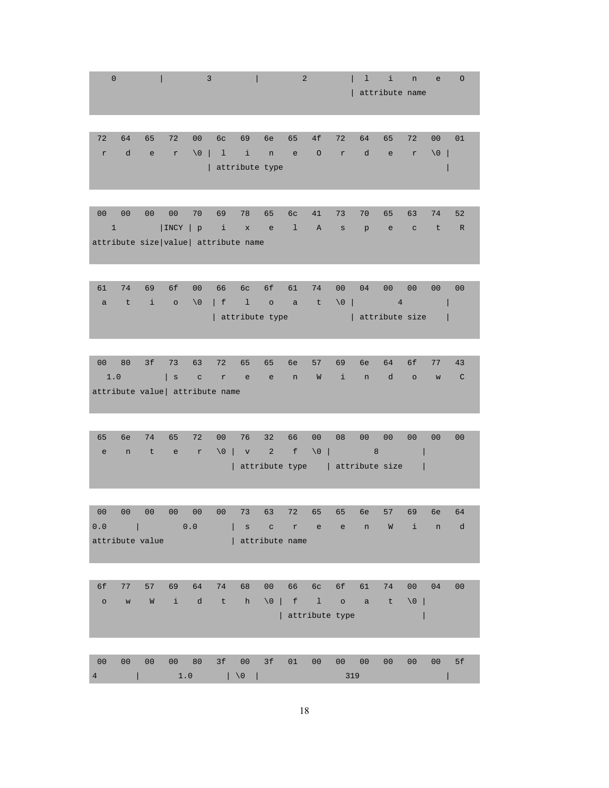| $\overline{0}$ |    |    |    | 3                         |    |    |   | $\overline{2}$ |  |                 | $\mathbf{1}$ | i   | n              | e               | $\circ$ |
|----------------|----|----|----|---------------------------|----|----|---|----------------|--|-----------------|--------------|-----|----------------|-----------------|---------|
|                |    |    |    |                           |    |    |   |                |  |                 |              |     | attribute name |                 |         |
|                |    |    |    |                           |    |    |   |                |  |                 |              |     |                |                 |         |
| 72             | 64 | 65 | 72 | 00                        | 6c | 69 |   | 6e 65 4f       |  | 72 <sub>7</sub> | 64           | 65  | 72             | 00 <sub>o</sub> | - 01    |
| r              | d  |    |    | $e$ r $\vert 0 \vert$ l i |    |    | n | $e$ 0          |  | r d             |              | e e | r              | $\setminus 0$   |         |
| attribute type |    |    |    |                           |    |    |   |                |  |                 |              |     |                |                 |         |

 00 00 00 00 70 69 78 65 6c 41 73 70 65 63 74 52 1 |INCY | p i x e l A s p e c t R attribute size|value| attribute name

 61 74 69 6f 00 66 6c 6f 61 74 00 04 00 00 00 00 a t i o  $\backslash0$  | f 1 o a t  $\backslash0$  | 4 | | attribute type | attribute size |

 00 80 3f 73 63 72 65 65 6e 57 69 6e 64 6f 77 43 1.0 | s c r e e n W i n d o w C attribute value| attribute name

 65 6e 74 65 72 00 76 32 66 00 08 00 00 00 00 00 e n t e r \0 | v 2 f \0 | 8 | | attribute type | attribute size |

|                 |  |  |  |  | 00 00 00 00 00 00 73 63 72 65 65 6e 57 69 6e 64 |                |  |  |  |  |
|-----------------|--|--|--|--|-------------------------------------------------|----------------|--|--|--|--|
|                 |  |  |  |  | 0.0   0.0   screen Wind                         |                |  |  |  |  |
| attribute value |  |  |  |  |                                                 | attribute name |  |  |  |  |

|         | 6f 77 57 |  |  |                                                     |                |  | 00 <sup>o</sup> | 00 |
|---------|----------|--|--|-----------------------------------------------------|----------------|--|-----------------|----|
| $\circ$ |          |  |  | w W i d t h $\setminus 0$   f l o a t $\setminus 0$ |                |  |                 |    |
|         |          |  |  |                                                     | attribute type |  |                 |    |

| 00 00 00 00 80 3f 00 3f 01 00 00 00 00 00 00 5f |  |  |  |  |     |  |  |  |  |
|-------------------------------------------------|--|--|--|--|-----|--|--|--|--|
|                                                 |  |  |  |  | 319 |  |  |  |  |